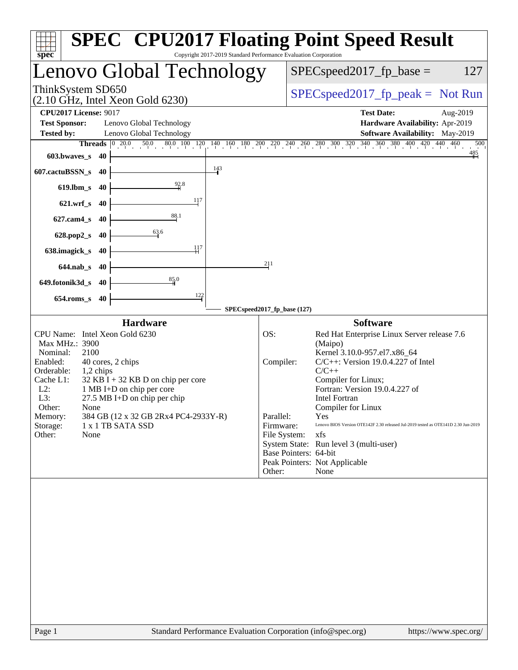| $spec^*$                                                                                                     | <b>SPEC<sup>®</sup> CPU2017 Floating Point Speed Result</b><br>Copyright 2017-2019 Standard Performance Evaluation Corporation                               |
|--------------------------------------------------------------------------------------------------------------|--------------------------------------------------------------------------------------------------------------------------------------------------------------|
| Lenovo Global Technology                                                                                     | $SPEC speed2017fp base =$<br>127                                                                                                                             |
| ThinkSystem SD650<br>$(2.10 \text{ GHz}, \text{Intel Xeon Gold } 6230)$                                      | $SPEC speed2017_fp\_peak = Not Run$                                                                                                                          |
| <b>CPU2017 License: 9017</b>                                                                                 | <b>Test Date:</b><br>Aug-2019                                                                                                                                |
| <b>Test Sponsor:</b><br>Lenovo Global Technology                                                             | Hardware Availability: Apr-2019                                                                                                                              |
| Lenovo Global Technology<br><b>Tested by:</b>                                                                | <b>Software Availability:</b> May-2019                                                                                                                       |
| $\overline{50.0}$ $\overline{80.0}$ $\overline{100}$ $\overline{120}$<br>$\boxed{0\ 20.0}$<br><b>Threads</b> | $140\quad 160\quad 180\quad 200\quad 270\quad 240\quad 260\quad 280\quad 300\quad 320\quad 340\quad 360\quad 380\quad 400\quad 420\quad 440\quad 460$<br>500 |
| 603.bwaves_s<br>- 40<br>143                                                                                  | $\frac{485}{1}$                                                                                                                                              |
| 607.cactuBSSN_s<br>-40<br>92.8                                                                               |                                                                                                                                                              |
| $619$ .lbm_s<br>-40<br>117                                                                                   |                                                                                                                                                              |
| $621.wrf$ <sub>S</sub><br>40                                                                                 |                                                                                                                                                              |
| 88.1<br>$627$ .cam $4$ <sub>S</sub><br>40                                                                    |                                                                                                                                                              |
| 63.6<br>628.pop2_s<br>40                                                                                     |                                                                                                                                                              |
| $\pm$ 17<br>638.imagick_s<br>40                                                                              |                                                                                                                                                              |
| $644$ .nab_s<br>-40                                                                                          | 211                                                                                                                                                          |
| 85.0<br>649.fotonik3d_s<br>40                                                                                |                                                                                                                                                              |
| 122<br>$654$ .roms_s<br>40                                                                                   |                                                                                                                                                              |
|                                                                                                              | SPECspeed2017_fp_base (127)                                                                                                                                  |
| <b>Hardware</b><br>CPU Name: Intel Xeon Gold 6230                                                            | <b>Software</b><br>OS:                                                                                                                                       |
| Max MHz.: 3900                                                                                               | Red Hat Enterprise Linux Server release 7.6<br>(Maipo)                                                                                                       |
| Nominal:<br>2100                                                                                             | Kernel 3.10.0-957.el7.x86_64                                                                                                                                 |
| Enabled:<br>40 cores, 2 chips                                                                                | $C/C++$ : Version 19.0.4.227 of Intel<br>Compiler:                                                                                                           |
| Orderable:<br>$1,2$ chips<br>Cache L1:<br>$32$ KB I + 32 KB D on chip per core                               | $C/C++$<br>Compiler for Linux;                                                                                                                               |
| $L2$ :<br>1 MB I+D on chip per core                                                                          | Fortran: Version 19.0.4.227 of                                                                                                                               |
| L3:<br>$27.5$ MB I+D on chip per chip                                                                        | <b>Intel Fortran</b>                                                                                                                                         |
| Other:<br>None                                                                                               | Compiler for Linux                                                                                                                                           |
| 384 GB (12 x 32 GB 2Rx4 PC4-2933Y-R)<br>Memory:<br>Storage:<br>1 x 1 TB SATA SSD                             | Parallel:<br>Yes<br>Lenovo BIOS Version OTE142F 2.30 released Jul-2019 tested as OTE141D 2.30 Jun-2019<br>Firmware:                                          |
| Other:<br>None                                                                                               | File System:<br>xfs                                                                                                                                          |
|                                                                                                              | System State: Run level 3 (multi-user)                                                                                                                       |
|                                                                                                              | Base Pointers: 64-bit<br>Peak Pointers: Not Applicable                                                                                                       |
|                                                                                                              | Other:<br>None                                                                                                                                               |
|                                                                                                              |                                                                                                                                                              |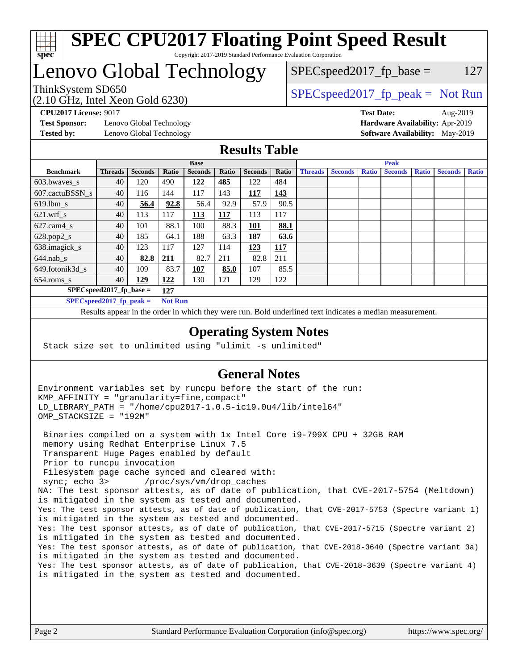

### **[SPEC CPU2017 Floating Point Speed Result](http://www.spec.org/auto/cpu2017/Docs/result-fields.html#SPECCPU2017FloatingPointSpeedResult)** Copyright 2017-2019 Standard Performance Evaluation Corporation

# Lenovo Global Technology

(2.10 GHz, Intel Xeon Gold 6230)

ThinkSystem SD650  $SPEC speed2017_f p_peak = Not Run$ 

 $SPEC speed2017_fp\_base = 127$ 

**[Test Sponsor:](http://www.spec.org/auto/cpu2017/Docs/result-fields.html#TestSponsor)** Lenovo Global Technology **[Hardware Availability:](http://www.spec.org/auto/cpu2017/Docs/result-fields.html#HardwareAvailability)** Apr-2019 **[Tested by:](http://www.spec.org/auto/cpu2017/Docs/result-fields.html#Testedby)** Lenovo Global Technology **[Software Availability:](http://www.spec.org/auto/cpu2017/Docs/result-fields.html#SoftwareAvailability)** May-2019

**[CPU2017 License:](http://www.spec.org/auto/cpu2017/Docs/result-fields.html#CPU2017License)** 9017 **[Test Date:](http://www.spec.org/auto/cpu2017/Docs/result-fields.html#TestDate)** Aug-2019

### **[Results Table](http://www.spec.org/auto/cpu2017/Docs/result-fields.html#ResultsTable)**

|                                              | <b>Base</b>    |                |       |                |       |                | <b>Peak</b> |                |                |              |                |              |                |              |
|----------------------------------------------|----------------|----------------|-------|----------------|-------|----------------|-------------|----------------|----------------|--------------|----------------|--------------|----------------|--------------|
| <b>Benchmark</b>                             | <b>Threads</b> | <b>Seconds</b> | Ratio | <b>Seconds</b> | Ratio | <b>Seconds</b> | Ratio       | <b>Threads</b> | <b>Seconds</b> | <b>Ratio</b> | <b>Seconds</b> | <b>Ratio</b> | <b>Seconds</b> | <b>Ratio</b> |
| 603.bwayes s                                 | 40             | 120            | 490   | 122            | 485   | 122            | 484         |                |                |              |                |              |                |              |
| 607.cactuBSSN s                              | 40             | 116            | 144   | 117            | 143   | 117            | 143         |                |                |              |                |              |                |              |
| $619.$ lbm s                                 | 40             | 56.4           | 92.8  | 56.4           | 92.9  | 57.9           | 90.5        |                |                |              |                |              |                |              |
| $621.wrf$ s                                  | 40             | 113            | 117   | 113            | 117   | 113            | 117         |                |                |              |                |              |                |              |
| $627$ .cam4 s                                | 40             | 101            | 88.1  | 100            | 88.3  | 101            | 88.1        |                |                |              |                |              |                |              |
| $628.pop2_s$                                 | 40             | 185            | 64.1  | 188            | 63.3  | 187            | 63.6        |                |                |              |                |              |                |              |
| 638.imagick_s                                | 40             | 123            | 117   | 127            | 114   | 123            | 117         |                |                |              |                |              |                |              |
| $644$ .nab s                                 | 40             | 82.8           | 211   | 82.7           | 211   | 82.8           | 211         |                |                |              |                |              |                |              |
| 649.fotonik3d s                              | 40             | 109            | 83.7  | <u>107</u>     | 85.0  | 107            | 85.5        |                |                |              |                |              |                |              |
| $654$ .roms s                                | 40             | 129            | 122   | 130            | 121   | 129            | 122         |                |                |              |                |              |                |              |
| $SPEC speed2017$ fp base =<br>127            |                |                |       |                |       |                |             |                |                |              |                |              |                |              |
| SPECspeed 2017 fp peak $=$<br><b>Not Run</b> |                |                |       |                |       |                |             |                |                |              |                |              |                |              |

Results appear in the [order in which they were run.](http://www.spec.org/auto/cpu2017/Docs/result-fields.html#RunOrder) Bold underlined text [indicates a median measurement](http://www.spec.org/auto/cpu2017/Docs/result-fields.html#Median).

### **[Operating System Notes](http://www.spec.org/auto/cpu2017/Docs/result-fields.html#OperatingSystemNotes)**

Stack size set to unlimited using "ulimit -s unlimited"

### **[General Notes](http://www.spec.org/auto/cpu2017/Docs/result-fields.html#GeneralNotes)**

Environment variables set by runcpu before the start of the run: KMP\_AFFINITY = "granularity=fine,compact" LD\_LIBRARY\_PATH = "/home/cpu2017-1.0.5-ic19.0u4/lib/intel64" OMP\_STACKSIZE = "192M"

 Binaries compiled on a system with 1x Intel Core i9-799X CPU + 32GB RAM memory using Redhat Enterprise Linux 7.5 Transparent Huge Pages enabled by default Prior to runcpu invocation Filesystem page cache synced and cleared with: sync; echo 3> /proc/sys/vm/drop\_caches NA: The test sponsor attests, as of date of publication, that CVE-2017-5754 (Meltdown) is mitigated in the system as tested and documented. Yes: The test sponsor attests, as of date of publication, that CVE-2017-5753 (Spectre variant 1) is mitigated in the system as tested and documented. Yes: The test sponsor attests, as of date of publication, that CVE-2017-5715 (Spectre variant 2) is mitigated in the system as tested and documented. Yes: The test sponsor attests, as of date of publication, that CVE-2018-3640 (Spectre variant 3a) is mitigated in the system as tested and documented. Yes: The test sponsor attests, as of date of publication, that CVE-2018-3639 (Spectre variant 4) is mitigated in the system as tested and documented.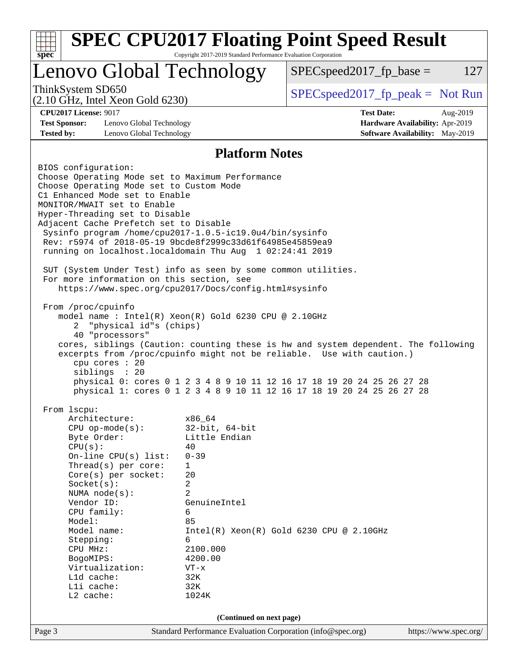| <b>SPEC CPU2017 Floating Point Speed Result</b><br>Copyright 2017-2019 Standard Performance Evaluation Corporation<br>$spec^*$ |                                                           |                                                                                    |  |                                        |                       |
|--------------------------------------------------------------------------------------------------------------------------------|-----------------------------------------------------------|------------------------------------------------------------------------------------|--|----------------------------------------|-----------------------|
|                                                                                                                                |                                                           | Lenovo Global Technology                                                           |  | $SPEC speed2017_fp\_base =$            | 127                   |
| ThinkSystem SD650                                                                                                              | $(2.10 \text{ GHz}, \text{Intel Xeon Gold } 6230)$        |                                                                                    |  | $SPEC speed2017rfp peak = Not Run$     |                       |
| <b>CPU2017 License: 9017</b>                                                                                                   |                                                           |                                                                                    |  | <b>Test Date:</b>                      | Aug-2019              |
| <b>Test Sponsor:</b>                                                                                                           | Lenovo Global Technology                                  |                                                                                    |  | Hardware Availability: Apr-2019        |                       |
| <b>Tested by:</b>                                                                                                              | Lenovo Global Technology                                  |                                                                                    |  | <b>Software Availability:</b> May-2019 |                       |
|                                                                                                                                |                                                           | <b>Platform Notes</b>                                                              |  |                                        |                       |
| BIOS configuration:                                                                                                            |                                                           |                                                                                    |  |                                        |                       |
|                                                                                                                                |                                                           | Choose Operating Mode set to Maximum Performance                                   |  |                                        |                       |
|                                                                                                                                | Choose Operating Mode set to Custom Mode                  |                                                                                    |  |                                        |                       |
|                                                                                                                                | C1 Enhanced Mode set to Enable                            |                                                                                    |  |                                        |                       |
|                                                                                                                                | MONITOR/MWAIT set to Enable                               |                                                                                    |  |                                        |                       |
|                                                                                                                                | Hyper-Threading set to Disable                            |                                                                                    |  |                                        |                       |
|                                                                                                                                | Adjacent Cache Prefetch set to Disable                    |                                                                                    |  |                                        |                       |
|                                                                                                                                |                                                           | Sysinfo program /home/cpu2017-1.0.5-ic19.0u4/bin/sysinfo                           |  |                                        |                       |
|                                                                                                                                |                                                           | Rev: r5974 of 2018-05-19 9bcde8f2999c33d61f64985e45859ea9                          |  |                                        |                       |
|                                                                                                                                |                                                           | running on localhost.localdomain Thu Aug 1 02:24:41 2019                           |  |                                        |                       |
|                                                                                                                                |                                                           |                                                                                    |  |                                        |                       |
|                                                                                                                                |                                                           | SUT (System Under Test) info as seen by some common utilities.                     |  |                                        |                       |
|                                                                                                                                | For more information on this section, see                 |                                                                                    |  |                                        |                       |
|                                                                                                                                |                                                           | https://www.spec.org/cpu2017/Docs/config.html#sysinfo                              |  |                                        |                       |
| From /proc/cpuinfo                                                                                                             |                                                           |                                                                                    |  |                                        |                       |
|                                                                                                                                |                                                           | model name: Intel(R) Xeon(R) Gold 6230 CPU @ 2.10GHz                               |  |                                        |                       |
| $\overline{2}$                                                                                                                 | "physical id"s (chips)                                    |                                                                                    |  |                                        |                       |
|                                                                                                                                | 40 "processors"                                           |                                                                                    |  |                                        |                       |
|                                                                                                                                |                                                           | cores, siblings (Caution: counting these is hw and system dependent. The following |  |                                        |                       |
|                                                                                                                                |                                                           | excerpts from /proc/cpuinfo might not be reliable. Use with caution.)              |  |                                        |                       |
|                                                                                                                                | cpu cores : 20                                            |                                                                                    |  |                                        |                       |
|                                                                                                                                | siblings : 20                                             |                                                                                    |  |                                        |                       |
|                                                                                                                                |                                                           | physical 0: cores 0 1 2 3 4 8 9 10 11 12 16 17 18 19 20 24 25 26 27 28             |  |                                        |                       |
|                                                                                                                                |                                                           | physical 1: cores 0 1 2 3 4 8 9 10 11 12 16 17 18 19 20 24 25 26 27 28             |  |                                        |                       |
|                                                                                                                                |                                                           |                                                                                    |  |                                        |                       |
| From lscpu:                                                                                                                    |                                                           |                                                                                    |  |                                        |                       |
|                                                                                                                                | Architecture:                                             | x86_64                                                                             |  |                                        |                       |
|                                                                                                                                | $CPU$ op-mode( $s$ ):                                     | $32$ -bit, $64$ -bit                                                               |  |                                        |                       |
|                                                                                                                                | Byte Order:                                               | Little Endian                                                                      |  |                                        |                       |
| CPU(s):                                                                                                                        |                                                           | 40                                                                                 |  |                                        |                       |
|                                                                                                                                | On-line $CPU(s)$ list:                                    | $0 - 39$                                                                           |  |                                        |                       |
|                                                                                                                                | Thread(s) per core:                                       | 1                                                                                  |  |                                        |                       |
|                                                                                                                                | Core(s) per socket:                                       | 20                                                                                 |  |                                        |                       |
| Socket(s):                                                                                                                     |                                                           | 2                                                                                  |  |                                        |                       |
| Vendor ID:                                                                                                                     | NUMA $node(s)$ :                                          | 2<br>GenuineIntel                                                                  |  |                                        |                       |
|                                                                                                                                |                                                           | 6                                                                                  |  |                                        |                       |
|                                                                                                                                | CPU family:<br>85<br>Model:                               |                                                                                    |  |                                        |                       |
|                                                                                                                                | Model name:<br>$Intel(R) Xeon(R) Gold 6230 CPU @ 2.10GHz$ |                                                                                    |  |                                        |                       |
|                                                                                                                                | Stepping:<br>6                                            |                                                                                    |  |                                        |                       |
| CPU MHz:                                                                                                                       |                                                           | 2100.000                                                                           |  |                                        |                       |
| BogoMIPS:                                                                                                                      |                                                           | 4200.00                                                                            |  |                                        |                       |
|                                                                                                                                | Virtualization:                                           | $VT - x$                                                                           |  |                                        |                       |
| L1d cache:                                                                                                                     |                                                           | 32K                                                                                |  |                                        |                       |
| Lli cache:                                                                                                                     |                                                           | 32K                                                                                |  |                                        |                       |
| $L2$ cache:                                                                                                                    |                                                           | 1024K                                                                              |  |                                        |                       |
| (Continued on next page)                                                                                                       |                                                           |                                                                                    |  |                                        |                       |
|                                                                                                                                |                                                           |                                                                                    |  |                                        |                       |
| Page 3                                                                                                                         |                                                           | Standard Performance Evaluation Corporation (info@spec.org)                        |  |                                        | https://www.spec.org/ |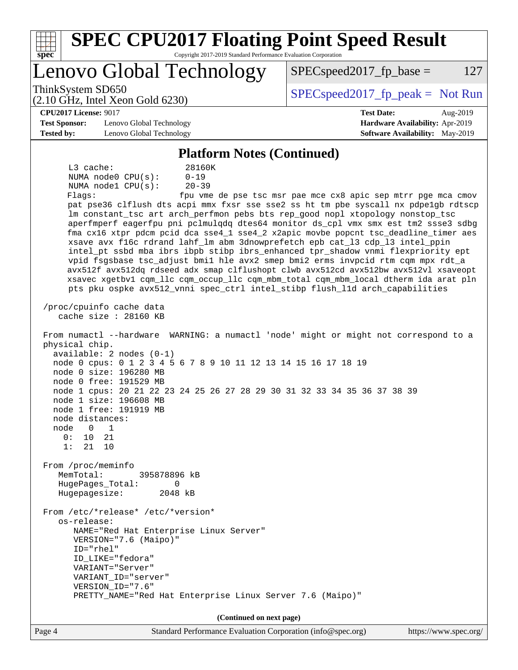| <b>SPEC CPU2017 Floating Point Speed Result</b><br>$spec*$<br>Copyright 2017-2019 Standard Performance Evaluation Corporation                                                                                                                                                                                                                                                                                                                                                                                                                                                                                                                                                                                                                                                                                                                                                                                                                                                                                                                                                                                                                                                                                                                                                                                                                                                                                                                                                                                                           |                                                               |
|-----------------------------------------------------------------------------------------------------------------------------------------------------------------------------------------------------------------------------------------------------------------------------------------------------------------------------------------------------------------------------------------------------------------------------------------------------------------------------------------------------------------------------------------------------------------------------------------------------------------------------------------------------------------------------------------------------------------------------------------------------------------------------------------------------------------------------------------------------------------------------------------------------------------------------------------------------------------------------------------------------------------------------------------------------------------------------------------------------------------------------------------------------------------------------------------------------------------------------------------------------------------------------------------------------------------------------------------------------------------------------------------------------------------------------------------------------------------------------------------------------------------------------------------|---------------------------------------------------------------|
| Lenovo Global Technology                                                                                                                                                                                                                                                                                                                                                                                                                                                                                                                                                                                                                                                                                                                                                                                                                                                                                                                                                                                                                                                                                                                                                                                                                                                                                                                                                                                                                                                                                                                | 127<br>$SPEC speed2017fr base =$                              |
| ThinkSystem SD650<br>$(2.10 \text{ GHz}, \text{Intel Xeon Gold } 6230)$                                                                                                                                                                                                                                                                                                                                                                                                                                                                                                                                                                                                                                                                                                                                                                                                                                                                                                                                                                                                                                                                                                                                                                                                                                                                                                                                                                                                                                                                 | $SPEC speed2017fr peak = Not Run$                             |
| <b>CPU2017 License: 9017</b>                                                                                                                                                                                                                                                                                                                                                                                                                                                                                                                                                                                                                                                                                                                                                                                                                                                                                                                                                                                                                                                                                                                                                                                                                                                                                                                                                                                                                                                                                                            | <b>Test Date:</b><br>Aug-2019                                 |
| <b>Test Sponsor:</b><br>Lenovo Global Technology                                                                                                                                                                                                                                                                                                                                                                                                                                                                                                                                                                                                                                                                                                                                                                                                                                                                                                                                                                                                                                                                                                                                                                                                                                                                                                                                                                                                                                                                                        | Hardware Availability: Apr-2019                               |
| <b>Tested by:</b><br>Lenovo Global Technology                                                                                                                                                                                                                                                                                                                                                                                                                                                                                                                                                                                                                                                                                                                                                                                                                                                                                                                                                                                                                                                                                                                                                                                                                                                                                                                                                                                                                                                                                           | Software Availability: May-2019                               |
| <b>Platform Notes (Continued)</b>                                                                                                                                                                                                                                                                                                                                                                                                                                                                                                                                                                                                                                                                                                                                                                                                                                                                                                                                                                                                                                                                                                                                                                                                                                                                                                                                                                                                                                                                                                       |                                                               |
| $L3$ cache:<br>28160K<br>$0 - 19$<br>NUMA $node0$ $CPU(s):$<br>NUMA nodel CPU(s):<br>$20 - 39$<br>Flagg:<br>pat pse36 clflush dts acpi mmx fxsr sse sse2 ss ht tm pbe syscall nx pdpelgb rdtscp<br>lm constant_tsc art arch_perfmon pebs bts rep_good nopl xtopology nonstop_tsc<br>aperfmperf eagerfpu pni pclmulqdq dtes64 monitor ds_cpl vmx smx est tm2 ssse3 sdbg<br>fma cx16 xtpr pdcm pcid dca sse4_1 sse4_2 x2apic movbe popcnt tsc_deadline_timer aes<br>xsave avx f16c rdrand lahf_lm abm 3dnowprefetch epb cat_13 cdp_13 intel_ppin<br>intel_pt ssbd mba ibrs ibpb stibp ibrs_enhanced tpr_shadow vnmi flexpriority ept<br>vpid fsgsbase tsc_adjust bmil hle avx2 smep bmi2 erms invpcid rtm cqm mpx rdt_a<br>avx512f avx512dq rdseed adx smap clflushopt clwb avx512cd avx512bw avx512vl xsaveopt<br>xsavec xgetbv1 cqm_llc cqm_occup_llc cqm_mbm_total cqm_mbm_local dtherm ida arat pln<br>pts pku ospke avx512_vnni spec_ctrl intel_stibp flush_lld arch_capabilities<br>/proc/cpuinfo cache data<br>cache size : 28160 KB<br>From numactl --hardware WARNING: a numactl 'node' might or might not correspond to a<br>physical chip.<br>$available: 2 nodes (0-1)$<br>node 0 cpus: 0 1 2 3 4 5 6 7 8 9 10 11 12 13 14 15 16 17 18 19<br>node 0 size: 196280 MB<br>node 0 free: 191529 MB<br>node 1 cpus: 20 21 22 23 24 25 26 27 28 29 30 31 32 33 34 35 36 37 38 39<br>node 1 size: 196608 MB<br>node 1 free: 191919 MB<br>node distances:<br>node<br>0<br>1<br>0 :<br>10<br>21<br>1:<br>21<br>10<br>From /proc/meminfo | fpu vme de pse tsc msr pae mce cx8 apic sep mtrr pge mca cmov |
| MemTotal:<br>395878896 kB<br>HugePages_Total:<br>0                                                                                                                                                                                                                                                                                                                                                                                                                                                                                                                                                                                                                                                                                                                                                                                                                                                                                                                                                                                                                                                                                                                                                                                                                                                                                                                                                                                                                                                                                      |                                                               |
| Hugepagesize:<br>2048 kB                                                                                                                                                                                                                                                                                                                                                                                                                                                                                                                                                                                                                                                                                                                                                                                                                                                                                                                                                                                                                                                                                                                                                                                                                                                                                                                                                                                                                                                                                                                |                                                               |
| From /etc/*release* /etc/*version*<br>os-release:<br>NAME="Red Hat Enterprise Linux Server"<br>VERSION="7.6 (Maipo)"<br>ID="rhel"<br>ID_LIKE="fedora"<br>VARIANT="Server"<br>VARIANT_ID="server"<br>VERSION_ID="7.6"<br>PRETTY_NAME="Red Hat Enterprise Linux Server 7.6 (Maipo)"                                                                                                                                                                                                                                                                                                                                                                                                                                                                                                                                                                                                                                                                                                                                                                                                                                                                                                                                                                                                                                                                                                                                                                                                                                                       |                                                               |
| (Continued on next page)                                                                                                                                                                                                                                                                                                                                                                                                                                                                                                                                                                                                                                                                                                                                                                                                                                                                                                                                                                                                                                                                                                                                                                                                                                                                                                                                                                                                                                                                                                                |                                                               |
| Page 4<br>Standard Performance Evaluation Corporation (info@spec.org)                                                                                                                                                                                                                                                                                                                                                                                                                                                                                                                                                                                                                                                                                                                                                                                                                                                                                                                                                                                                                                                                                                                                                                                                                                                                                                                                                                                                                                                                   | https://www.spec.org/                                         |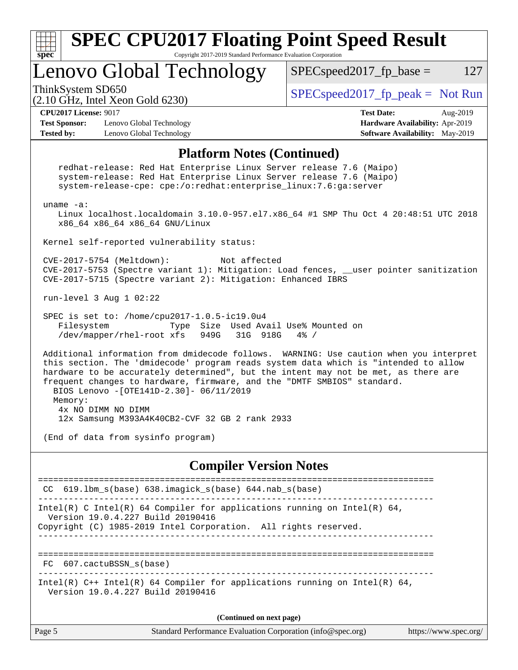

Version 19.0.4.227 Build 20190416

**(Continued on next page)**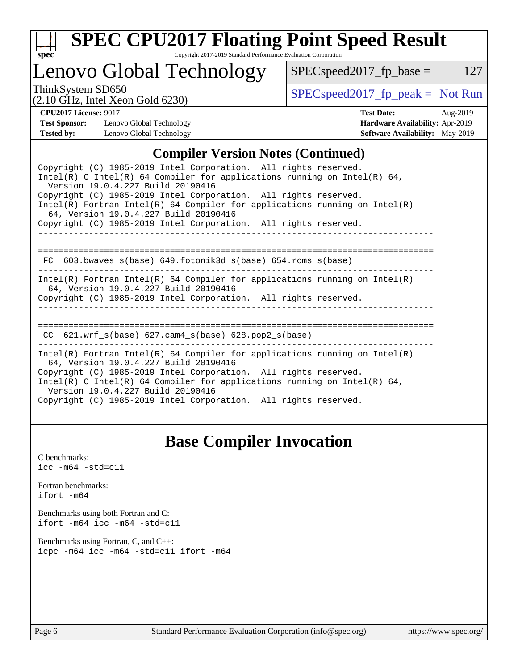

# **[SPEC CPU2017 Floating Point Speed Result](http://www.spec.org/auto/cpu2017/Docs/result-fields.html#SPECCPU2017FloatingPointSpeedResult)**

Copyright 2017-2019 Standard Performance Evaluation Corporation

# Lenovo Global Technology

ThinkSystem SD650  $SPEC speed2017_f$   $p\_peak = Not Run$ 

 $SPEC speed2017_fp\_base = 127$ 

| $-$ --------- $J \sim$ $      -$ |                                                    |  |
|----------------------------------|----------------------------------------------------|--|
|                                  | $(2.10 \text{ GHz}, \text{Intel Xeon Gold } 6230)$ |  |

**[CPU2017 License:](http://www.spec.org/auto/cpu2017/Docs/result-fields.html#CPU2017License)** 9017 **[Test Date:](http://www.spec.org/auto/cpu2017/Docs/result-fields.html#TestDate)** Aug-2019 **[Test Sponsor:](http://www.spec.org/auto/cpu2017/Docs/result-fields.html#TestSponsor)** Lenovo Global Technology **[Hardware Availability:](http://www.spec.org/auto/cpu2017/Docs/result-fields.html#HardwareAvailability)** Apr-2019 **[Tested by:](http://www.spec.org/auto/cpu2017/Docs/result-fields.html#Testedby)** Lenovo Global Technology **[Software Availability:](http://www.spec.org/auto/cpu2017/Docs/result-fields.html#SoftwareAvailability)** May-2019

### **[Compiler Version Notes \(Continued\)](http://www.spec.org/auto/cpu2017/Docs/result-fields.html#CompilerVersionNotes)**

| Copyright (C) 1985-2019 Intel Corporation. All rights reserved.<br>Intel(R) C Intel(R) 64 Compiler for applications running on Intel(R) 64,<br>Version 19.0.4.227 Build 20190416                                                                                                                                                                                           |  |  |  |  |
|----------------------------------------------------------------------------------------------------------------------------------------------------------------------------------------------------------------------------------------------------------------------------------------------------------------------------------------------------------------------------|--|--|--|--|
| Copyright (C) 1985-2019 Intel Corporation. All rights reserved.<br>Intel(R) Fortran Intel(R) 64 Compiler for applications running on Intel(R)<br>64, Version 19.0.4.227 Build 20190416                                                                                                                                                                                     |  |  |  |  |
| Copyright (C) 1985-2019 Intel Corporation. All rights reserved.                                                                                                                                                                                                                                                                                                            |  |  |  |  |
| =================================<br>FC $603.bwaves$ s(base) $649.fotonik3d$ s(base) $654.roms$ s(base)                                                                                                                                                                                                                                                                    |  |  |  |  |
| Intel(R) Fortran Intel(R) 64 Compiler for applications running on Intel(R)<br>64, Version 19.0.4.227 Build 20190416<br>Copyright (C) 1985-2019 Intel Corporation. All rights reserved.                                                                                                                                                                                     |  |  |  |  |
| CC $621.$ wrf $s(base)$ $627.$ cam4 $s(base)$ $628.$ pop2 $s(base)$                                                                                                                                                                                                                                                                                                        |  |  |  |  |
| Intel(R) Fortran Intel(R) 64 Compiler for applications running on Intel(R)<br>64, Version 19.0.4.227 Build 20190416<br>Copyright (C) 1985-2019 Intel Corporation. All rights reserved.<br>Intel(R) C Intel(R) 64 Compiler for applications running on Intel(R) 64,<br>Version 19.0.4.227 Build 20190416<br>Copyright (C) 1985-2019 Intel Corporation. All rights reserved. |  |  |  |  |

### **[Base Compiler Invocation](http://www.spec.org/auto/cpu2017/Docs/result-fields.html#BaseCompilerInvocation)**

[C benchmarks](http://www.spec.org/auto/cpu2017/Docs/result-fields.html#Cbenchmarks): [icc -m64 -std=c11](http://www.spec.org/cpu2017/results/res2019q3/cpu2017-20190805-16623.flags.html#user_CCbase_intel_icc_64bit_c11_33ee0cdaae7deeeab2a9725423ba97205ce30f63b9926c2519791662299b76a0318f32ddfffdc46587804de3178b4f9328c46fa7c2b0cd779d7a61945c91cd35)

[Fortran benchmarks](http://www.spec.org/auto/cpu2017/Docs/result-fields.html#Fortranbenchmarks): [ifort -m64](http://www.spec.org/cpu2017/results/res2019q3/cpu2017-20190805-16623.flags.html#user_FCbase_intel_ifort_64bit_24f2bb282fbaeffd6157abe4f878425411749daecae9a33200eee2bee2fe76f3b89351d69a8130dd5949958ce389cf37ff59a95e7a40d588e8d3a57e0c3fd751)

[Benchmarks using both Fortran and C](http://www.spec.org/auto/cpu2017/Docs/result-fields.html#BenchmarksusingbothFortranandC): [ifort -m64](http://www.spec.org/cpu2017/results/res2019q3/cpu2017-20190805-16623.flags.html#user_CC_FCbase_intel_ifort_64bit_24f2bb282fbaeffd6157abe4f878425411749daecae9a33200eee2bee2fe76f3b89351d69a8130dd5949958ce389cf37ff59a95e7a40d588e8d3a57e0c3fd751) [icc -m64 -std=c11](http://www.spec.org/cpu2017/results/res2019q3/cpu2017-20190805-16623.flags.html#user_CC_FCbase_intel_icc_64bit_c11_33ee0cdaae7deeeab2a9725423ba97205ce30f63b9926c2519791662299b76a0318f32ddfffdc46587804de3178b4f9328c46fa7c2b0cd779d7a61945c91cd35)

[Benchmarks using Fortran, C, and C++:](http://www.spec.org/auto/cpu2017/Docs/result-fields.html#BenchmarksusingFortranCandCXX) [icpc -m64](http://www.spec.org/cpu2017/results/res2019q3/cpu2017-20190805-16623.flags.html#user_CC_CXX_FCbase_intel_icpc_64bit_4ecb2543ae3f1412ef961e0650ca070fec7b7afdcd6ed48761b84423119d1bf6bdf5cad15b44d48e7256388bc77273b966e5eb805aefd121eb22e9299b2ec9d9) [icc -m64 -std=c11](http://www.spec.org/cpu2017/results/res2019q3/cpu2017-20190805-16623.flags.html#user_CC_CXX_FCbase_intel_icc_64bit_c11_33ee0cdaae7deeeab2a9725423ba97205ce30f63b9926c2519791662299b76a0318f32ddfffdc46587804de3178b4f9328c46fa7c2b0cd779d7a61945c91cd35) [ifort -m64](http://www.spec.org/cpu2017/results/res2019q3/cpu2017-20190805-16623.flags.html#user_CC_CXX_FCbase_intel_ifort_64bit_24f2bb282fbaeffd6157abe4f878425411749daecae9a33200eee2bee2fe76f3b89351d69a8130dd5949958ce389cf37ff59a95e7a40d588e8d3a57e0c3fd751)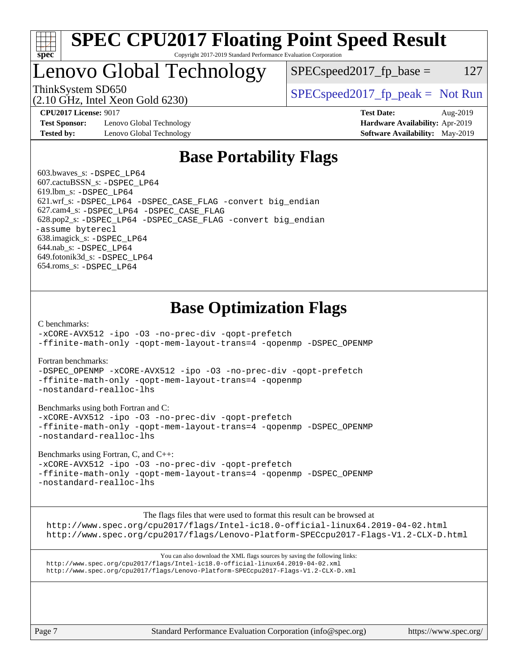

### **[SPEC CPU2017 Floating Point Speed Result](http://www.spec.org/auto/cpu2017/Docs/result-fields.html#SPECCPU2017FloatingPointSpeedResult)** Copyright 2017-2019 Standard Performance Evaluation Corporation

# Lenovo Global Technology

 $SPEC speed2017_fp\_base = 127$ 

(2.10 GHz, Intel Xeon Gold 6230)

ThinkSystem SD650  $SPEC speed2017$  [p\_peak = Not Run

**[Test Sponsor:](http://www.spec.org/auto/cpu2017/Docs/result-fields.html#TestSponsor)** Lenovo Global Technology **[Hardware Availability:](http://www.spec.org/auto/cpu2017/Docs/result-fields.html#HardwareAvailability)** Apr-2019 **[Tested by:](http://www.spec.org/auto/cpu2017/Docs/result-fields.html#Testedby)** Lenovo Global Technology **[Software Availability:](http://www.spec.org/auto/cpu2017/Docs/result-fields.html#SoftwareAvailability)** May-2019

**[CPU2017 License:](http://www.spec.org/auto/cpu2017/Docs/result-fields.html#CPU2017License)** 9017 **[Test Date:](http://www.spec.org/auto/cpu2017/Docs/result-fields.html#TestDate)** Aug-2019

## **[Base Portability Flags](http://www.spec.org/auto/cpu2017/Docs/result-fields.html#BasePortabilityFlags)**

 603.bwaves\_s: [-DSPEC\\_LP64](http://www.spec.org/cpu2017/results/res2019q3/cpu2017-20190805-16623.flags.html#suite_basePORTABILITY603_bwaves_s_DSPEC_LP64) 607.cactuBSSN\_s: [-DSPEC\\_LP64](http://www.spec.org/cpu2017/results/res2019q3/cpu2017-20190805-16623.flags.html#suite_basePORTABILITY607_cactuBSSN_s_DSPEC_LP64) 619.lbm\_s: [-DSPEC\\_LP64](http://www.spec.org/cpu2017/results/res2019q3/cpu2017-20190805-16623.flags.html#suite_basePORTABILITY619_lbm_s_DSPEC_LP64) 621.wrf\_s: [-DSPEC\\_LP64](http://www.spec.org/cpu2017/results/res2019q3/cpu2017-20190805-16623.flags.html#suite_basePORTABILITY621_wrf_s_DSPEC_LP64) [-DSPEC\\_CASE\\_FLAG](http://www.spec.org/cpu2017/results/res2019q3/cpu2017-20190805-16623.flags.html#b621.wrf_s_baseCPORTABILITY_DSPEC_CASE_FLAG) [-convert big\\_endian](http://www.spec.org/cpu2017/results/res2019q3/cpu2017-20190805-16623.flags.html#user_baseFPORTABILITY621_wrf_s_convert_big_endian_c3194028bc08c63ac5d04de18c48ce6d347e4e562e8892b8bdbdc0214820426deb8554edfa529a3fb25a586e65a3d812c835984020483e7e73212c4d31a38223) 627.cam4\_s: [-DSPEC\\_LP64](http://www.spec.org/cpu2017/results/res2019q3/cpu2017-20190805-16623.flags.html#suite_basePORTABILITY627_cam4_s_DSPEC_LP64) [-DSPEC\\_CASE\\_FLAG](http://www.spec.org/cpu2017/results/res2019q3/cpu2017-20190805-16623.flags.html#b627.cam4_s_baseCPORTABILITY_DSPEC_CASE_FLAG) 628.pop2\_s: [-DSPEC\\_LP64](http://www.spec.org/cpu2017/results/res2019q3/cpu2017-20190805-16623.flags.html#suite_basePORTABILITY628_pop2_s_DSPEC_LP64) [-DSPEC\\_CASE\\_FLAG](http://www.spec.org/cpu2017/results/res2019q3/cpu2017-20190805-16623.flags.html#b628.pop2_s_baseCPORTABILITY_DSPEC_CASE_FLAG) [-convert big\\_endian](http://www.spec.org/cpu2017/results/res2019q3/cpu2017-20190805-16623.flags.html#user_baseFPORTABILITY628_pop2_s_convert_big_endian_c3194028bc08c63ac5d04de18c48ce6d347e4e562e8892b8bdbdc0214820426deb8554edfa529a3fb25a586e65a3d812c835984020483e7e73212c4d31a38223) [-assume byterecl](http://www.spec.org/cpu2017/results/res2019q3/cpu2017-20190805-16623.flags.html#user_baseFPORTABILITY628_pop2_s_assume_byterecl_7e47d18b9513cf18525430bbf0f2177aa9bf368bc7a059c09b2c06a34b53bd3447c950d3f8d6c70e3faf3a05c8557d66a5798b567902e8849adc142926523472) 638.imagick\_s: [-DSPEC\\_LP64](http://www.spec.org/cpu2017/results/res2019q3/cpu2017-20190805-16623.flags.html#suite_basePORTABILITY638_imagick_s_DSPEC_LP64) 644.nab\_s: [-DSPEC\\_LP64](http://www.spec.org/cpu2017/results/res2019q3/cpu2017-20190805-16623.flags.html#suite_basePORTABILITY644_nab_s_DSPEC_LP64) 649.fotonik3d\_s: [-DSPEC\\_LP64](http://www.spec.org/cpu2017/results/res2019q3/cpu2017-20190805-16623.flags.html#suite_basePORTABILITY649_fotonik3d_s_DSPEC_LP64) 654.roms\_s: [-DSPEC\\_LP64](http://www.spec.org/cpu2017/results/res2019q3/cpu2017-20190805-16623.flags.html#suite_basePORTABILITY654_roms_s_DSPEC_LP64)

# **[Base Optimization Flags](http://www.spec.org/auto/cpu2017/Docs/result-fields.html#BaseOptimizationFlags)**

[C benchmarks](http://www.spec.org/auto/cpu2017/Docs/result-fields.html#Cbenchmarks):

[-xCORE-AVX512](http://www.spec.org/cpu2017/results/res2019q3/cpu2017-20190805-16623.flags.html#user_CCbase_f-xCORE-AVX512) [-ipo](http://www.spec.org/cpu2017/results/res2019q3/cpu2017-20190805-16623.flags.html#user_CCbase_f-ipo) [-O3](http://www.spec.org/cpu2017/results/res2019q3/cpu2017-20190805-16623.flags.html#user_CCbase_f-O3) [-no-prec-div](http://www.spec.org/cpu2017/results/res2019q3/cpu2017-20190805-16623.flags.html#user_CCbase_f-no-prec-div) [-qopt-prefetch](http://www.spec.org/cpu2017/results/res2019q3/cpu2017-20190805-16623.flags.html#user_CCbase_f-qopt-prefetch) [-ffinite-math-only](http://www.spec.org/cpu2017/results/res2019q3/cpu2017-20190805-16623.flags.html#user_CCbase_f_finite_math_only_cb91587bd2077682c4b38af759c288ed7c732db004271a9512da14a4f8007909a5f1427ecbf1a0fb78ff2a814402c6114ac565ca162485bbcae155b5e4258871) [-qopt-mem-layout-trans=4](http://www.spec.org/cpu2017/results/res2019q3/cpu2017-20190805-16623.flags.html#user_CCbase_f-qopt-mem-layout-trans_fa39e755916c150a61361b7846f310bcdf6f04e385ef281cadf3647acec3f0ae266d1a1d22d972a7087a248fd4e6ca390a3634700869573d231a252c784941a8) [-qopenmp](http://www.spec.org/cpu2017/results/res2019q3/cpu2017-20190805-16623.flags.html#user_CCbase_qopenmp_16be0c44f24f464004c6784a7acb94aca937f053568ce72f94b139a11c7c168634a55f6653758ddd83bcf7b8463e8028bb0b48b77bcddc6b78d5d95bb1df2967) [-DSPEC\\_OPENMP](http://www.spec.org/cpu2017/results/res2019q3/cpu2017-20190805-16623.flags.html#suite_CCbase_DSPEC_OPENMP)

[Fortran benchmarks](http://www.spec.org/auto/cpu2017/Docs/result-fields.html#Fortranbenchmarks):

[-DSPEC\\_OPENMP](http://www.spec.org/cpu2017/results/res2019q3/cpu2017-20190805-16623.flags.html#suite_FCbase_DSPEC_OPENMP) [-xCORE-AVX512](http://www.spec.org/cpu2017/results/res2019q3/cpu2017-20190805-16623.flags.html#user_FCbase_f-xCORE-AVX512) [-ipo](http://www.spec.org/cpu2017/results/res2019q3/cpu2017-20190805-16623.flags.html#user_FCbase_f-ipo) [-O3](http://www.spec.org/cpu2017/results/res2019q3/cpu2017-20190805-16623.flags.html#user_FCbase_f-O3) [-no-prec-div](http://www.spec.org/cpu2017/results/res2019q3/cpu2017-20190805-16623.flags.html#user_FCbase_f-no-prec-div) [-qopt-prefetch](http://www.spec.org/cpu2017/results/res2019q3/cpu2017-20190805-16623.flags.html#user_FCbase_f-qopt-prefetch) [-ffinite-math-only](http://www.spec.org/cpu2017/results/res2019q3/cpu2017-20190805-16623.flags.html#user_FCbase_f_finite_math_only_cb91587bd2077682c4b38af759c288ed7c732db004271a9512da14a4f8007909a5f1427ecbf1a0fb78ff2a814402c6114ac565ca162485bbcae155b5e4258871) [-qopt-mem-layout-trans=4](http://www.spec.org/cpu2017/results/res2019q3/cpu2017-20190805-16623.flags.html#user_FCbase_f-qopt-mem-layout-trans_fa39e755916c150a61361b7846f310bcdf6f04e385ef281cadf3647acec3f0ae266d1a1d22d972a7087a248fd4e6ca390a3634700869573d231a252c784941a8) [-qopenmp](http://www.spec.org/cpu2017/results/res2019q3/cpu2017-20190805-16623.flags.html#user_FCbase_qopenmp_16be0c44f24f464004c6784a7acb94aca937f053568ce72f94b139a11c7c168634a55f6653758ddd83bcf7b8463e8028bb0b48b77bcddc6b78d5d95bb1df2967) [-nostandard-realloc-lhs](http://www.spec.org/cpu2017/results/res2019q3/cpu2017-20190805-16623.flags.html#user_FCbase_f_2003_std_realloc_82b4557e90729c0f113870c07e44d33d6f5a304b4f63d4c15d2d0f1fab99f5daaed73bdb9275d9ae411527f28b936061aa8b9c8f2d63842963b95c9dd6426b8a)

[Benchmarks using both Fortran and C](http://www.spec.org/auto/cpu2017/Docs/result-fields.html#BenchmarksusingbothFortranandC):

[-xCORE-AVX512](http://www.spec.org/cpu2017/results/res2019q3/cpu2017-20190805-16623.flags.html#user_CC_FCbase_f-xCORE-AVX512) [-ipo](http://www.spec.org/cpu2017/results/res2019q3/cpu2017-20190805-16623.flags.html#user_CC_FCbase_f-ipo) [-O3](http://www.spec.org/cpu2017/results/res2019q3/cpu2017-20190805-16623.flags.html#user_CC_FCbase_f-O3) [-no-prec-div](http://www.spec.org/cpu2017/results/res2019q3/cpu2017-20190805-16623.flags.html#user_CC_FCbase_f-no-prec-div) [-qopt-prefetch](http://www.spec.org/cpu2017/results/res2019q3/cpu2017-20190805-16623.flags.html#user_CC_FCbase_f-qopt-prefetch) [-ffinite-math-only](http://www.spec.org/cpu2017/results/res2019q3/cpu2017-20190805-16623.flags.html#user_CC_FCbase_f_finite_math_only_cb91587bd2077682c4b38af759c288ed7c732db004271a9512da14a4f8007909a5f1427ecbf1a0fb78ff2a814402c6114ac565ca162485bbcae155b5e4258871) [-qopt-mem-layout-trans=4](http://www.spec.org/cpu2017/results/res2019q3/cpu2017-20190805-16623.flags.html#user_CC_FCbase_f-qopt-mem-layout-trans_fa39e755916c150a61361b7846f310bcdf6f04e385ef281cadf3647acec3f0ae266d1a1d22d972a7087a248fd4e6ca390a3634700869573d231a252c784941a8) [-qopenmp](http://www.spec.org/cpu2017/results/res2019q3/cpu2017-20190805-16623.flags.html#user_CC_FCbase_qopenmp_16be0c44f24f464004c6784a7acb94aca937f053568ce72f94b139a11c7c168634a55f6653758ddd83bcf7b8463e8028bb0b48b77bcddc6b78d5d95bb1df2967) [-DSPEC\\_OPENMP](http://www.spec.org/cpu2017/results/res2019q3/cpu2017-20190805-16623.flags.html#suite_CC_FCbase_DSPEC_OPENMP) [-nostandard-realloc-lhs](http://www.spec.org/cpu2017/results/res2019q3/cpu2017-20190805-16623.flags.html#user_CC_FCbase_f_2003_std_realloc_82b4557e90729c0f113870c07e44d33d6f5a304b4f63d4c15d2d0f1fab99f5daaed73bdb9275d9ae411527f28b936061aa8b9c8f2d63842963b95c9dd6426b8a)

[Benchmarks using Fortran, C, and C++:](http://www.spec.org/auto/cpu2017/Docs/result-fields.html#BenchmarksusingFortranCandCXX)

[-xCORE-AVX512](http://www.spec.org/cpu2017/results/res2019q3/cpu2017-20190805-16623.flags.html#user_CC_CXX_FCbase_f-xCORE-AVX512) [-ipo](http://www.spec.org/cpu2017/results/res2019q3/cpu2017-20190805-16623.flags.html#user_CC_CXX_FCbase_f-ipo) [-O3](http://www.spec.org/cpu2017/results/res2019q3/cpu2017-20190805-16623.flags.html#user_CC_CXX_FCbase_f-O3) [-no-prec-div](http://www.spec.org/cpu2017/results/res2019q3/cpu2017-20190805-16623.flags.html#user_CC_CXX_FCbase_f-no-prec-div) [-qopt-prefetch](http://www.spec.org/cpu2017/results/res2019q3/cpu2017-20190805-16623.flags.html#user_CC_CXX_FCbase_f-qopt-prefetch) [-ffinite-math-only](http://www.spec.org/cpu2017/results/res2019q3/cpu2017-20190805-16623.flags.html#user_CC_CXX_FCbase_f_finite_math_only_cb91587bd2077682c4b38af759c288ed7c732db004271a9512da14a4f8007909a5f1427ecbf1a0fb78ff2a814402c6114ac565ca162485bbcae155b5e4258871) [-qopt-mem-layout-trans=4](http://www.spec.org/cpu2017/results/res2019q3/cpu2017-20190805-16623.flags.html#user_CC_CXX_FCbase_f-qopt-mem-layout-trans_fa39e755916c150a61361b7846f310bcdf6f04e385ef281cadf3647acec3f0ae266d1a1d22d972a7087a248fd4e6ca390a3634700869573d231a252c784941a8) [-qopenmp](http://www.spec.org/cpu2017/results/res2019q3/cpu2017-20190805-16623.flags.html#user_CC_CXX_FCbase_qopenmp_16be0c44f24f464004c6784a7acb94aca937f053568ce72f94b139a11c7c168634a55f6653758ddd83bcf7b8463e8028bb0b48b77bcddc6b78d5d95bb1df2967) [-DSPEC\\_OPENMP](http://www.spec.org/cpu2017/results/res2019q3/cpu2017-20190805-16623.flags.html#suite_CC_CXX_FCbase_DSPEC_OPENMP) [-nostandard-realloc-lhs](http://www.spec.org/cpu2017/results/res2019q3/cpu2017-20190805-16623.flags.html#user_CC_CXX_FCbase_f_2003_std_realloc_82b4557e90729c0f113870c07e44d33d6f5a304b4f63d4c15d2d0f1fab99f5daaed73bdb9275d9ae411527f28b936061aa8b9c8f2d63842963b95c9dd6426b8a)

The flags files that were used to format this result can be browsed at

<http://www.spec.org/cpu2017/flags/Intel-ic18.0-official-linux64.2019-04-02.html> <http://www.spec.org/cpu2017/flags/Lenovo-Platform-SPECcpu2017-Flags-V1.2-CLX-D.html>

You can also download the XML flags sources by saving the following links: <http://www.spec.org/cpu2017/flags/Intel-ic18.0-official-linux64.2019-04-02.xml> <http://www.spec.org/cpu2017/flags/Lenovo-Platform-SPECcpu2017-Flags-V1.2-CLX-D.xml>